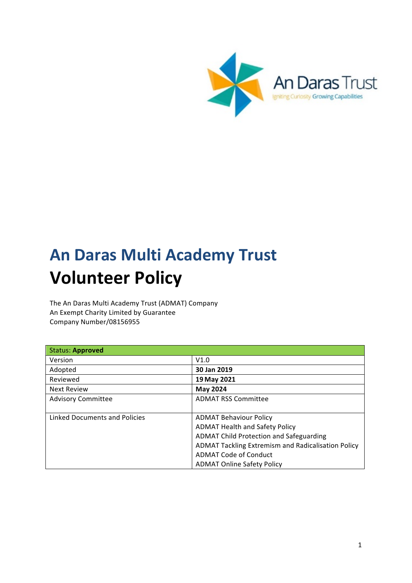

# **An Daras Multi Academy Trust Volunteer Policy**

The An Daras Multi Academy Trust (ADMAT) Company An Exempt Charity Limited by Guarantee Company Number/08156955

| <b>Status: Approved</b>       |                                                    |
|-------------------------------|----------------------------------------------------|
| Version                       | V1.0                                               |
| Adopted                       | 30 Jan 2019                                        |
| Reviewed                      | 19 May 2021                                        |
| <b>Next Review</b>            | May 2024                                           |
| <b>Advisory Committee</b>     | <b>ADMAT RSS Committee</b>                         |
|                               |                                                    |
| Linked Documents and Policies | <b>ADMAT Behaviour Policy</b>                      |
|                               | <b>ADMAT Health and Safety Policy</b>              |
|                               | <b>ADMAT Child Protection and Safeguarding</b>     |
|                               | ADMAT Tackling Extremism and Radicalisation Policy |
|                               | ADMAT Code of Conduct                              |
|                               | <b>ADMAT Online Safety Policy</b>                  |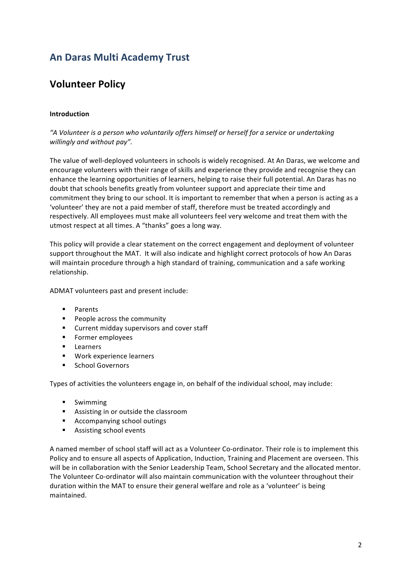## **An Daras Multi Academy Trust**

## **Volunteer Policy**

#### **Introduction**

"A Volunteer is a person who voluntarily offers himself or herself for a service or undertaking willingly and without pay".

The value of well-deployed volunteers in schools is widely recognised. At An Daras, we welcome and encourage volunteers with their range of skills and experience they provide and recognise they can enhance the learning opportunities of learners, helping to raise their full potential. An Daras has no doubt that schools benefits greatly from volunteer support and appreciate their time and commitment they bring to our school. It is important to remember that when a person is acting as a 'volunteer' they are not a paid member of staff, therefore must be treated accordingly and respectively. All employees must make all volunteers feel very welcome and treat them with the utmost respect at all times. A "thanks" goes a long way.

This policy will provide a clear statement on the correct engagement and deployment of volunteer support throughout the MAT. It will also indicate and highlight correct protocols of how An Daras will maintain procedure through a high standard of training, communication and a safe working relationship.

ADMAT volunteers past and present include:

- § Parents
- **•** People across the community
- Current midday supervisors and cover staff
- Former employees
- Learners
- Work experience learners
- § School Governors

Types of activities the volunteers engage in, on behalf of the individual school, may include:

- § Swimming
- **EXEC** Assisting in or outside the classroom
- Accompanying school outings
- Assisting school events

A named member of school staff will act as a Volunteer Co-ordinator. Their role is to implement this Policy and to ensure all aspects of Application, Induction, Training and Placement are overseen. This will be in collaboration with the Senior Leadership Team, School Secretary and the allocated mentor. The Volunteer Co-ordinator will also maintain communication with the volunteer throughout their duration within the MAT to ensure their general welfare and role as a 'volunteer' is being maintained.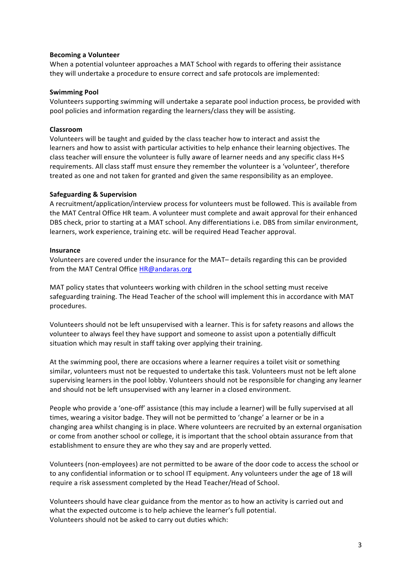#### **Becoming a Volunteer**

When a potential volunteer approaches a MAT School with regards to offering their assistance they will undertake a procedure to ensure correct and safe protocols are implemented:

#### **Swimming Pool**

Volunteers supporting swimming will undertake a separate pool induction process, be provided with pool policies and information regarding the learners/class they will be assisting.

#### **Classroom**

Volunteers will be taught and guided by the class teacher how to interact and assist the learners and how to assist with particular activities to help enhance their learning objectives. The class teacher will ensure the volunteer is fully aware of learner needs and any specific class H+S requirements. All class staff must ensure they remember the volunteer is a 'volunteer', therefore treated as one and not taken for granted and given the same responsibility as an employee.

#### **Safeguarding & Supervision**

A recruitment/application/interview process for volunteers must be followed. This is available from the MAT Central Office HR team. A volunteer must complete and await approval for their enhanced DBS check, prior to starting at a MAT school. Any differentiations i.e. DBS from similar environment, learners, work experience, training etc. will be required Head Teacher approval.

#### **Insurance**

Volunteers are covered under the insurance for the MAT- details regarding this can be provided from the MAT Central Office HR@andaras.org

MAT policy states that volunteers working with children in the school setting must receive safeguarding training. The Head Teacher of the school will implement this in accordance with MAT procedures.

Volunteers should not be left unsupervised with a learner. This is for safety reasons and allows the volunteer to always feel they have support and someone to assist upon a potentially difficult situation which may result in staff taking over applying their training.

At the swimming pool, there are occasions where a learner requires a toilet visit or something similar, volunteers must not be requested to undertake this task. Volunteers must not be left alone supervising learners in the pool lobby. Volunteers should not be responsible for changing any learner and should not be left unsupervised with any learner in a closed environment.

People who provide a 'one-off' assistance (this may include a learner) will be fully supervised at all times, wearing a visitor badge. They will not be permitted to 'change' a learner or be in a changing area whilst changing is in place. Where volunteers are recruited by an external organisation or come from another school or college, it is important that the school obtain assurance from that establishment to ensure they are who they say and are properly vetted.

Volunteers (non-employees) are not permitted to be aware of the door code to access the school or to any confidential information or to school IT equipment. Any volunteers under the age of 18 will require a risk assessment completed by the Head Teacher/Head of School.

Volunteers should have clear guidance from the mentor as to how an activity is carried out and what the expected outcome is to help achieve the learner's full potential. Volunteers should not be asked to carry out duties which: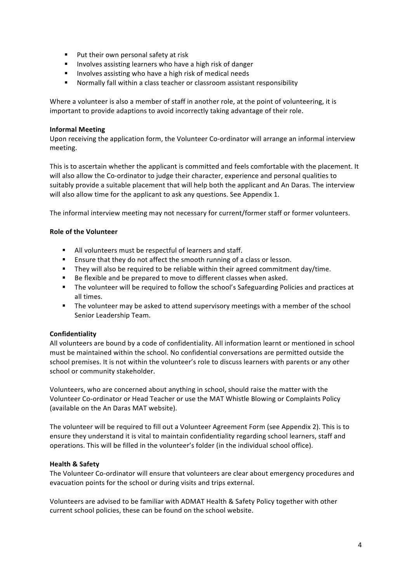- Put their own personal safety at risk
- Involves assisting learners who have a high risk of danger
- Involves assisting who have a high risk of medical needs
- Normally fall within a class teacher or classroom assistant responsibility

Where a volunteer is also a member of staff in another role, at the point of volunteering, it is important to provide adaptions to avoid incorrectly taking advantage of their role.

#### **Informal Meeting**

Upon receiving the application form, the Volunteer Co-ordinator will arrange an informal interview meeting.

This is to ascertain whether the applicant is committed and feels comfortable with the placement. It will also allow the Co-ordinator to judge their character, experience and personal qualities to suitably provide a suitable placement that will help both the applicant and An Daras. The interview will also allow time for the applicant to ask any questions. See Appendix 1.

The informal interview meeting may not necessary for current/former staff or former volunteers.

#### **Role of the Volunteer**

- All volunteers must be respectful of learners and staff.
- Ensure that they do not affect the smooth running of a class or lesson.
- They will also be required to be reliable within their agreed commitment day/time.
- Be flexible and be prepared to move to different classes when asked.
- The volunteer will be required to follow the school's Safeguarding Policies and practices at all times.
- The volunteer may be asked to attend supervisory meetings with a member of the school Senior Leadership Team.

#### **Confidentiality**

All volunteers are bound by a code of confidentiality. All information learnt or mentioned in school must be maintained within the school. No confidential conversations are permitted outside the school premises. It is not within the volunteer's role to discuss learners with parents or any other school or community stakeholder.

Volunteers, who are concerned about anything in school, should raise the matter with the Volunteer Co-ordinator or Head Teacher or use the MAT Whistle Blowing or Complaints Policy (available on the An Daras MAT website).

The volunteer will be required to fill out a Volunteer Agreement Form (see Appendix 2). This is to ensure they understand it is vital to maintain confidentiality regarding school learners, staff and operations. This will be filled in the volunteer's folder (in the individual school office).

#### **Health & Safety**

The Volunteer Co-ordinator will ensure that volunteers are clear about emergency procedures and evacuation points for the school or during visits and trips external.

Volunteers are advised to be familiar with ADMAT Health & Safety Policy together with other current school policies, these can be found on the school website.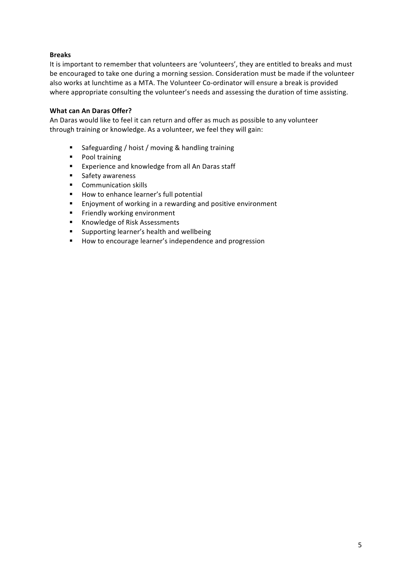#### **Breaks**

It is important to remember that volunteers are 'volunteers', they are entitled to breaks and must be encouraged to take one during a morning session. Consideration must be made if the volunteer also works at lunchtime as a MTA. The Volunteer Co-ordinator will ensure a break is provided where appropriate consulting the volunteer's needs and assessing the duration of time assisting.

#### **What can An Daras Offer?**

An Daras would like to feel it can return and offer as much as possible to any volunteer through training or knowledge. As a volunteer, we feel they will gain:

- Safeguarding / hoist / moving & handling training
- Pool training
- Experience and knowledge from all An Daras staff
- Safety awareness
- Communication skills
- How to enhance learner's full potential
- Enjoyment of working in a rewarding and positive environment
- Friendly working environment
- Knowledge of Risk Assessments
- Supporting learner's health and wellbeing
- How to encourage learner's independence and progression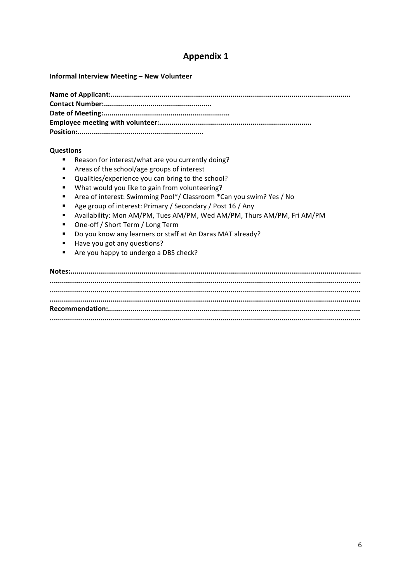## **Appendix 1**

Informal Interview Meeting - New Volunteer

#### **Questions**

- Reason for interest/what are you currently doing?  $\blacksquare$
- $\blacksquare$ Areas of the school/age groups of interest
- $\mathbf{r}$ Qualities/experience you can bring to the school?
- $\blacksquare$ What would you like to gain from volunteering?
- $\blacksquare$ Area of interest: Swimming Pool\*/ Classroom \*Can you swim? Yes / No
- $\blacksquare$ Age group of interest: Primary / Secondary / Post 16 / Any
- " Availability: Mon AM/PM, Tues AM/PM, Wed AM/PM, Thurs AM/PM, Fri AM/PM
- One-off / Short Term / Long Term
- " Do you know any learners or staff at An Daras MAT already?
- Have you got any questions?
- $\mathbf{u}$  . Are you happy to undergo a DBS check?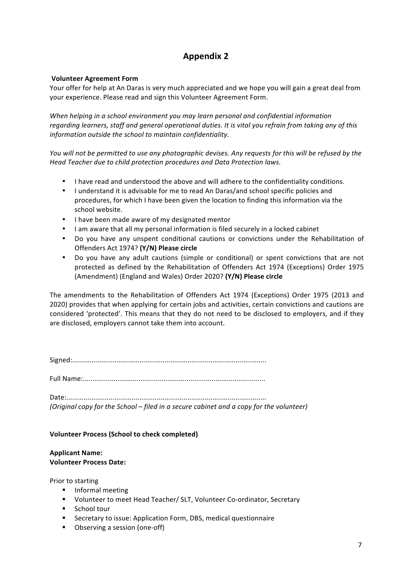## **Appendix 2**

#### **Volunteer Agreement Form**

Your offer for help at An Daras is very much appreciated and we hope you will gain a great deal from your experience. Please read and sign this Volunteer Agreement Form.

When helping in a school environment you may learn personal and confidential information regarding learners, staff and general operational duties. It is vital you refrain from taking any of this *information outside the school to maintain confidentiality.*

*You* will not be permitted to use any photographic devises. Any requests for this will be refused by the *Head Teacher due to child protection procedures and Data Protection laws.*

- I have read and understood the above and will adhere to the confidentiality conditions.
- I understand it is advisable for me to read An Daras/and school specific policies and procedures, for which I have been given the location to finding this information via the school website.
- I have been made aware of my designated mentor
- I am aware that all my personal information is filed securely in a locked cabinet
- Do you have any unspent conditional cautions or convictions under the Rehabilitation of Offenders Act 1974? **(Y/N) Please circle**
- Do you have any adult cautions (simple or conditional) or spent convictions that are not protected as defined by the Rehabilitation of Offenders Act 1974 (Exceptions) Order 1975 (Amendment) (England and Wales) Order 2020? **(Y/N) Please circle**

The amendments to the Rehabilitation of Offenders Act 1974 (Exceptions) Order 1975 (2013 and 2020) provides that when applying for certain jobs and activities, certain convictions and cautions are considered 'protected'. This means that they do not need to be disclosed to employers, and if they are disclosed, employers cannot take them into account.

Signed:.....................................................................................................

Full Name:...............................................................................................

Date:........................................................................................................

*(Original copy for the School – filed in a secure cabinet and a copy for the volunteer)* 

#### **Volunteer Process (School to check completed)**

#### **Applicant Name: Volunteer Process Date:**

Prior to starting

- **•** Informal meeting
- Volunteer to meet Head Teacher/ SLT, Volunteer Co-ordinator, Secretary
- School tour
- Secretary to issue: Application Form, DBS, medical questionnaire
- Observing a session (one-off)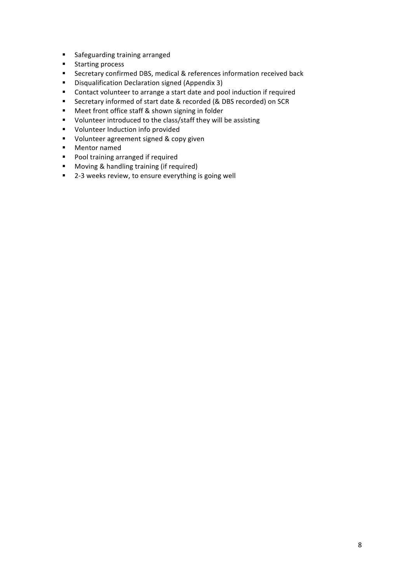- Safeguarding training arranged
- Starting process
- Secretary confirmed DBS, medical & references information received back
- Disqualification Declaration signed (Appendix 3)
- Contact volunteer to arrange a start date and pool induction if required
- Secretary informed of start date & recorded (& DBS recorded) on SCR
- Meet front office staff & shown signing in folder
- Volunteer introduced to the class/staff they will be assisting
- Volunteer Induction info provided
- Volunteer agreement signed & copy given
- Mentor named
- Pool training arranged if required
- Moving & handling training (if required)
- 2-3 weeks review, to ensure everything is going well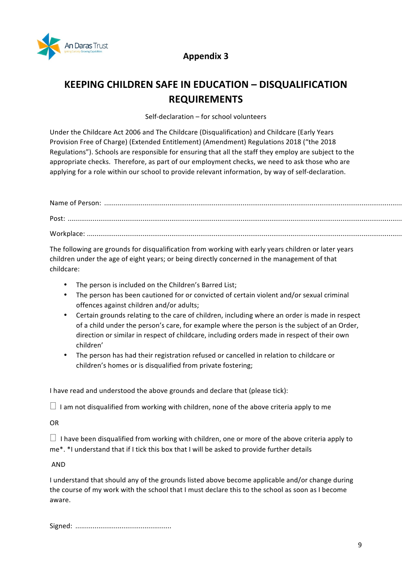

### **Appendix 3**

# **KEEPING CHILDREN SAFE IN EDUCATION - DISQUALIFICATION REQUIREMENTS**

Self-declaration - for school volunteers

Under the Childcare Act 2006 and The Childcare (Disqualification) and Childcare (Early Years Provision Free of Charge) (Extended Entitlement) (Amendment) Regulations 2018 ("the 2018 Regulations"). Schools are responsible for ensuring that all the staff they employ are subject to the appropriate checks. Therefore, as part of our employment checks, we need to ask those who are applying for a role within our school to provide relevant information, by way of self-declaration.

Name of Person: ........................................................................................................................................................... Post: .............................................................................................................................................................................. Workplace: ....................................................................................................................................................................

The following are grounds for disqualification from working with early years children or later years children under the age of eight years; or being directly concerned in the management of that childcare: 

- The person is included on the Children's Barred List:
- The person has been cautioned for or convicted of certain violent and/or sexual criminal offences against children and/or adults;
- Certain grounds relating to the care of children, including where an order is made in respect of a child under the person's care, for example where the person is the subject of an Order, direction or similar in respect of childcare, including orders made in respect of their own children'
- The person has had their registration refused or cancelled in relation to childcare or children's homes or is disqualified from private fostering;

I have read and understood the above grounds and declare that (please tick):

 $\Box$  I am not disqualified from working with children, none of the above criteria apply to me

OR 

 $\Box$  I have been disqualified from working with children, one or more of the above criteria apply to me\*. \*I understand that if I tick this box that I will be asked to provide further details

AND 

I understand that should any of the grounds listed above become applicable and/or change during the course of my work with the school that I must declare this to the school as soon as I become aware. 

Signed: ..................................................